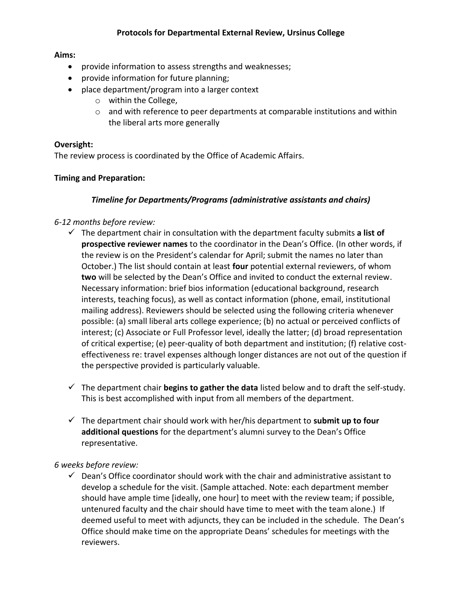### **Aims:**

- provide information to assess strengths and weaknesses;
- provide information for future planning;
- place department/program into a larger context
	- o within the College,
	- o and with reference to peer departments at comparable institutions and within the liberal arts more generally

### **Oversight:**

The review process is coordinated by the Office of Academic Affairs.

### **Timing and Preparation:**

### *Timeline for Departments/Programs (administrative assistants and chairs)*

### *6-12 months before review:*

- $\checkmark$  The department chair in consultation with the department faculty submits **a list of prospective reviewer names** to the coordinator in the Dean's Office. (In other words, if the review is on the President's calendar for April; submit the names no later than October.) The list should contain at least **four** potential external reviewers, of whom **two** will be selected by the Dean's Office and invited to conduct the external review. Necessary information: brief bios information (educational background, research interests, teaching focus), as well as contact information (phone, email, institutional mailing address). Reviewers should be selected using the following criteria whenever possible: (a) small liberal arts college experience; (b) no actual or perceived conflicts of interest; (c) Associate or Full Professor level, ideally the latter; (d) broad representation of critical expertise; (e) peer-quality of both department and institution; (f) relative costeffectiveness re: travel expenses although longer distances are not out of the question if the perspective provided is particularly valuable.
- $\checkmark$  The department chair **begins to gather the data** listed below and to draft the self-study. This is best accomplished with input from all members of the department.
- The department chair should work with her/his department to **submit up to four additional questions** for the department's alumni survey to the Dean's Office representative.

#### *6 weeks before review:*

 $\checkmark$  Dean's Office coordinator should work with the chair and administrative assistant to develop a schedule for the visit. (Sample attached. Note: each department member should have ample time [ideally, one hour] to meet with the review team; if possible, untenured faculty and the chair should have time to meet with the team alone.) If deemed useful to meet with adjuncts, they can be included in the schedule. The Dean's Office should make time on the appropriate Deans' schedules for meetings with the reviewers.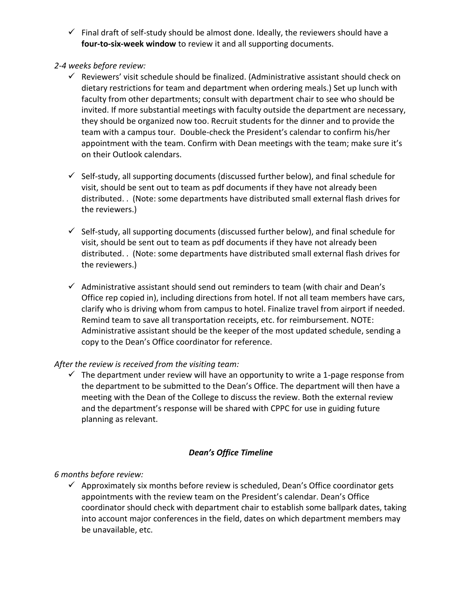- $\checkmark$  Final draft of self-study should be almost done. Ideally, the reviewers should have a **four-to-six-week window** to review it and all supporting documents.
- *2-4 weeks before review:*
	- $\checkmark$  Reviewers' visit schedule should be finalized. (Administrative assistant should check on dietary restrictions for team and department when ordering meals.) Set up lunch with faculty from other departments; consult with department chair to see who should be invited. If more substantial meetings with faculty outside the department are necessary, they should be organized now too. Recruit students for the dinner and to provide the team with a campus tour. Double-check the President's calendar to confirm his/her appointment with the team. Confirm with Dean meetings with the team; make sure it's on their Outlook calendars.
	- $\checkmark$  Self-study, all supporting documents (discussed further below), and final schedule for visit, should be sent out to team as pdf documents if they have not already been distributed. . (Note: some departments have distributed small external flash drives for the reviewers.)
	- $\checkmark$  Self-study, all supporting documents (discussed further below), and final schedule for visit, should be sent out to team as pdf documents if they have not already been distributed. . (Note: some departments have distributed small external flash drives for the reviewers.)
	- $\checkmark$  Administrative assistant should send out reminders to team (with chair and Dean's Office rep copied in), including directions from hotel. If not all team members have cars, clarify who is driving whom from campus to hotel. Finalize travel from airport if needed. Remind team to save all transportation receipts, etc. for reimbursement. NOTE: Administrative assistant should be the keeper of the most updated schedule, sending a copy to the Dean's Office coordinator for reference.

### *After the review is received from the visiting team:*

 $\checkmark$  The department under review will have an opportunity to write a 1-page response from the department to be submitted to the Dean's Office. The department will then have a meeting with the Dean of the College to discuss the review. Both the external review and the department's response will be shared with CPPC for use in guiding future planning as relevant.

### *Dean's Office Timeline*

# *6 months before review:*

 $\checkmark$  Approximately six months before review is scheduled, Dean's Office coordinator gets appointments with the review team on the President's calendar. Dean's Office coordinator should check with department chair to establish some ballpark dates, taking into account major conferences in the field, dates on which department members may be unavailable, etc.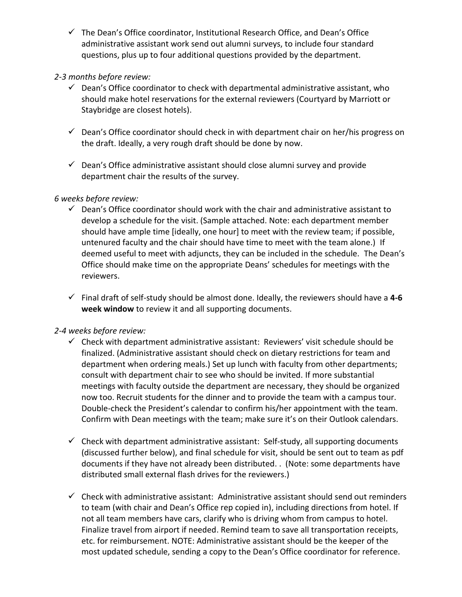$\checkmark$  The Dean's Office coordinator, Institutional Research Office, and Dean's Office administrative assistant work send out alumni surveys, to include four standard questions, plus up to four additional questions provided by the department.

## *2-3 months before review:*

- $\checkmark$  Dean's Office coordinator to check with departmental administrative assistant, who should make hotel reservations for the external reviewers (Courtyard by Marriott or Staybridge are closest hotels).
- $\checkmark$  Dean's Office coordinator should check in with department chair on her/his progress on the draft. Ideally, a very rough draft should be done by now.
- $\checkmark$  Dean's Office administrative assistant should close alumni survey and provide department chair the results of the survey.

## *6 weeks before review:*

- $\checkmark$  Dean's Office coordinator should work with the chair and administrative assistant to develop a schedule for the visit. (Sample attached. Note: each department member should have ample time [ideally, one hour] to meet with the review team; if possible, untenured faculty and the chair should have time to meet with the team alone.) If deemed useful to meet with adjuncts, they can be included in the schedule. The Dean's Office should make time on the appropriate Deans' schedules for meetings with the reviewers.
- Final draft of self-study should be almost done. Ideally, the reviewers should have a **4-6 week window** to review it and all supporting documents.

# *2-4 weeks before review:*

- $\checkmark$  Check with department administrative assistant: Reviewers' visit schedule should be finalized. (Administrative assistant should check on dietary restrictions for team and department when ordering meals.) Set up lunch with faculty from other departments; consult with department chair to see who should be invited. If more substantial meetings with faculty outside the department are necessary, they should be organized now too. Recruit students for the dinner and to provide the team with a campus tour. Double-check the President's calendar to confirm his/her appointment with the team. Confirm with Dean meetings with the team; make sure it's on their Outlook calendars.
- $\checkmark$  Check with department administrative assistant: Self-study, all supporting documents (discussed further below), and final schedule for visit, should be sent out to team as pdf documents if they have not already been distributed. . (Note: some departments have distributed small external flash drives for the reviewers.)
- $\checkmark$  Check with administrative assistant: Administrative assistant should send out reminders to team (with chair and Dean's Office rep copied in), including directions from hotel. If not all team members have cars, clarify who is driving whom from campus to hotel. Finalize travel from airport if needed. Remind team to save all transportation receipts, etc. for reimbursement. NOTE: Administrative assistant should be the keeper of the most updated schedule, sending a copy to the Dean's Office coordinator for reference.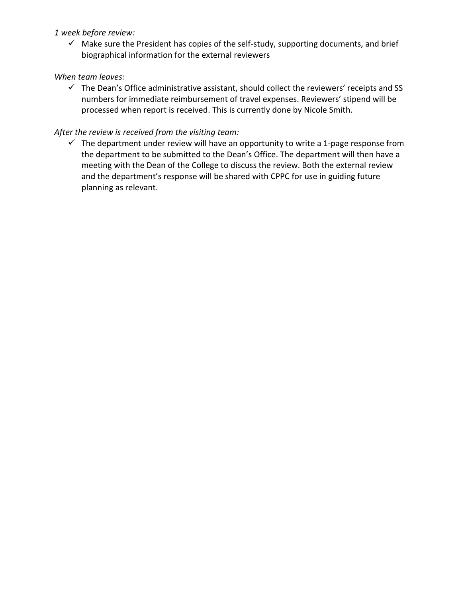### *1 week before review:*

 $\checkmark$  Make sure the President has copies of the self-study, supporting documents, and brief biographical information for the external reviewers

### *When team leaves:*

 $\checkmark$  The Dean's Office administrative assistant, should collect the reviewers' receipts and SS numbers for immediate reimbursement of travel expenses. Reviewers' stipend will be processed when report is received. This is currently done by Nicole Smith.

### *After the review is received from the visiting team:*

 $\checkmark$  The department under review will have an opportunity to write a 1-page response from the department to be submitted to the Dean's Office. The department will then have a meeting with the Dean of the College to discuss the review. Both the external review and the department's response will be shared with CPPC for use in guiding future planning as relevant.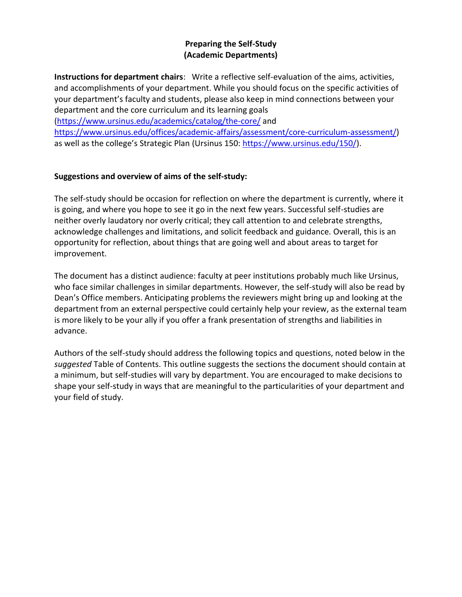### **Preparing the Self-Study (Academic Departments)**

**Instructions for department chairs**: Write a reflective self-evaluation of the aims, activities, and accomplishments of your department. While you should focus on the specific activities of your department's faculty and students, please also keep in mind connections between your department and the core curriculum and its learning goals

[\(https://www.ursinus.edu/academics/catalog/the-core/](https://www.ursinus.edu/academics/catalog/the-core/) and

[https://www.ursinus.edu/offices/academic-affairs/assessment/core-curriculum-assessment/\)](https://www.ursinus.edu/offices/academic-affairs/assessment/core-curriculum-assessment/) as well as the college's Strategic Plan (Ursinus 150: [https://www.ursinus.edu/150/\)](https://www.ursinus.edu/150/).

### **Suggestions and overview of aims of the self-study:**

The self-study should be occasion for reflection on where the department is currently, where it is going, and where you hope to see it go in the next few years. Successful self-studies are neither overly laudatory nor overly critical; they call attention to and celebrate strengths, acknowledge challenges and limitations, and solicit feedback and guidance. Overall, this is an opportunity for reflection, about things that are going well and about areas to target for improvement.

The document has a distinct audience: faculty at peer institutions probably much like Ursinus, who face similar challenges in similar departments. However, the self-study will also be read by Dean's Office members. Anticipating problems the reviewers might bring up and looking at the department from an external perspective could certainly help your review, as the external team is more likely to be your ally if you offer a frank presentation of strengths and liabilities in advance.

Authors of the self-study should address the following topics and questions, noted below in the *suggested* Table of Contents. This outline suggests the sections the document should contain at a minimum, but self-studies will vary by department. You are encouraged to make decisions to shape your self-study in ways that are meaningful to the particularities of your department and your field of study.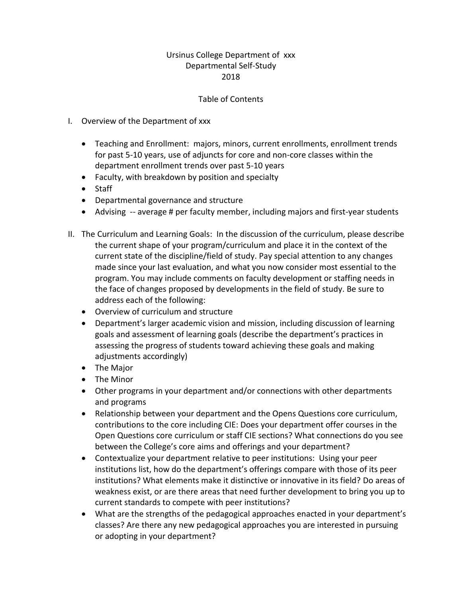### Ursinus College Department of xxx Departmental Self-Study 2018

### Table of Contents

- I. Overview of the Department of xxx
	- Teaching and Enrollment: majors, minors, current enrollments, enrollment trends for past 5-10 years, use of adjuncts for core and non-core classes within the department enrollment trends over past 5-10 years
	- Faculty, with breakdown by position and specialty
	- Staff
	- Departmental governance and structure
	- Advising -- average # per faculty member, including majors and first-year students
- II. The Curriculum and Learning Goals: In the discussion of the curriculum, please describe the current shape of your program/curriculum and place it in the context of the current state of the discipline/field of study. Pay special attention to any changes made since your last evaluation, and what you now consider most essential to the program. You may include comments on faculty development or staffing needs in the face of changes proposed by developments in the field of study. Be sure to address each of the following:
	- Overview of curriculum and structure
	- Department's larger academic vision and mission, including discussion of learning goals and assessment of learning goals (describe the department's practices in assessing the progress of students toward achieving these goals and making adjustments accordingly)
	- The Major
	- The Minor
	- Other programs in your department and/or connections with other departments and programs
	- Relationship between your department and the Opens Questions core curriculum, contributions to the core including CIE: Does your department offer courses in the Open Questions core curriculum or staff CIE sections? What connections do you see between the College's core aims and offerings and your department?
	- Contextualize your department relative to peer institutions: Using your peer institutions list, how do the department's offerings compare with those of its peer institutions? What elements make it distinctive or innovative in its field? Do areas of weakness exist, or are there areas that need further development to bring you up to current standards to compete with peer institutions?
	- What are the strengths of the pedagogical approaches enacted in your department's classes? Are there any new pedagogical approaches you are interested in pursuing or adopting in your department?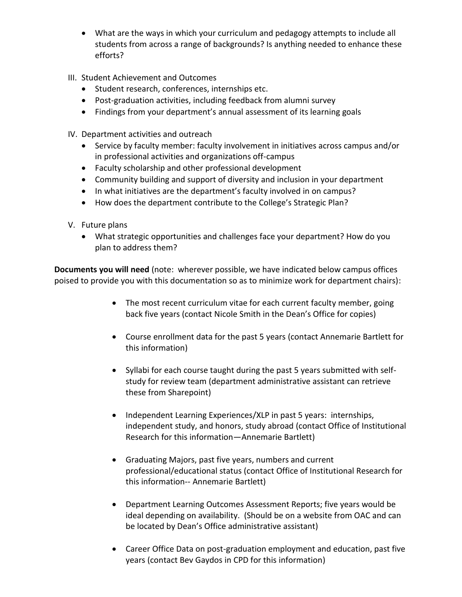- What are the ways in which your curriculum and pedagogy attempts to include all students from across a range of backgrounds? Is anything needed to enhance these efforts?
- III. Student Achievement and Outcomes
	- Student research, conferences, internships etc.
	- Post-graduation activities, including feedback from alumni survey
	- Findings from your department's annual assessment of its learning goals
- IV. Department activities and outreach
	- Service by faculty member: faculty involvement in initiatives across campus and/or in professional activities and organizations off-campus
	- Faculty scholarship and other professional development
	- Community building and support of diversity and inclusion in your department
	- In what initiatives are the department's faculty involved in on campus?
	- How does the department contribute to the College's Strategic Plan?
- V. Future plans
	- What strategic opportunities and challenges face your department? How do you plan to address them?

**Documents you will need** (note: wherever possible, we have indicated below campus offices poised to provide you with this documentation so as to minimize work for department chairs):

- The most recent curriculum vitae for each current faculty member, going back five years (contact Nicole Smith in the Dean's Office for copies)
- Course enrollment data for the past 5 years (contact Annemarie Bartlett for this information)
- Syllabi for each course taught during the past 5 years submitted with selfstudy for review team (department administrative assistant can retrieve these from Sharepoint)
- Independent Learning Experiences/XLP in past 5 years: internships, independent study, and honors, study abroad (contact Office of Institutional Research for this information—Annemarie Bartlett)
- Graduating Majors, past five years, numbers and current professional/educational status (contact Office of Institutional Research for this information-- Annemarie Bartlett)
- Department Learning Outcomes Assessment Reports; five years would be ideal depending on availability. (Should be on a website from OAC and can be located by Dean's Office administrative assistant)
- Career Office Data on post-graduation employment and education, past five years (contact Bev Gaydos in CPD for this information)